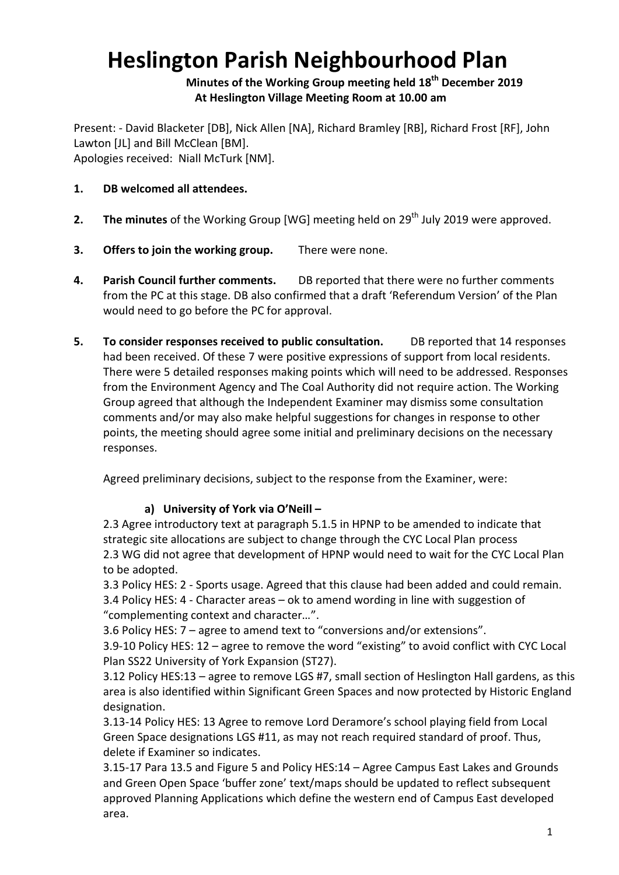# **Heslington Parish Neighbourhood Plan**

**Minutes of the Working Group meeting held 18th December 2019 At Heslington Village Meeting Room at 10.00 am**

Present: - David Blacketer [DB], Nick Allen [NA], Richard Bramley [RB], Richard Frost [RF], John Lawton [JL] and Bill McClean [BM]. Apologies received: Niall McTurk [NM].

#### **1. DB welcomed all attendees.**

- **2. The minutes** of the Working Group [WG] meeting held on 29<sup>th</sup> July 2019 were approved.
- **3. Offers to join the working group.** There were none.
- **4. Parish Council further comments.** DB reported that there were no further comments from the PC at this stage. DB also confirmed that a draft 'Referendum Version' of the Plan would need to go before the PC for approval.
- **5. To consider responses received to public consultation.** DB reported that 14 responses had been received. Of these 7 were positive expressions of support from local residents. There were 5 detailed responses making points which will need to be addressed. Responses from the Environment Agency and The Coal Authority did not require action. The Working Group agreed that although the Independent Examiner may dismiss some consultation comments and/or may also make helpful suggestions for changes in response to other points, the meeting should agree some initial and preliminary decisions on the necessary responses.

Agreed preliminary decisions, subject to the response from the Examiner, were:

#### **a) University of York via O'Neill –**

2.3 Agree introductory text at paragraph 5.1.5 in HPNP to be amended to indicate that strategic site allocations are subject to change through the CYC Local Plan process 2.3 WG did not agree that development of HPNP would need to wait for the CYC Local Plan to be adopted.

3.3 Policy HES: 2 - Sports usage. Agreed that this clause had been added and could remain.

3.4 Policy HES: 4 - Character areas – ok to amend wording in line with suggestion of "complementing context and character…".

3.6 Policy HES: 7 – agree to amend text to "conversions and/or extensions".

3.9-10 Policy HES: 12 – agree to remove the word "existing" to avoid conflict with CYC Local Plan SS22 University of York Expansion (ST27).

3.12 Policy HES:13 – agree to remove LGS #7, small section of Heslington Hall gardens, as this area is also identified within Significant Green Spaces and now protected by Historic England designation.

3.13-14 Policy HES: 13 Agree to remove Lord Deramore's school playing field from Local Green Space designations LGS #11, as may not reach required standard of proof. Thus, delete if Examiner so indicates.

3.15-17 Para 13.5 and Figure 5 and Policy HES:14 – Agree Campus East Lakes and Grounds and Green Open Space 'buffer zone' text/maps should be updated to reflect subsequent approved Planning Applications which define the western end of Campus East developed area.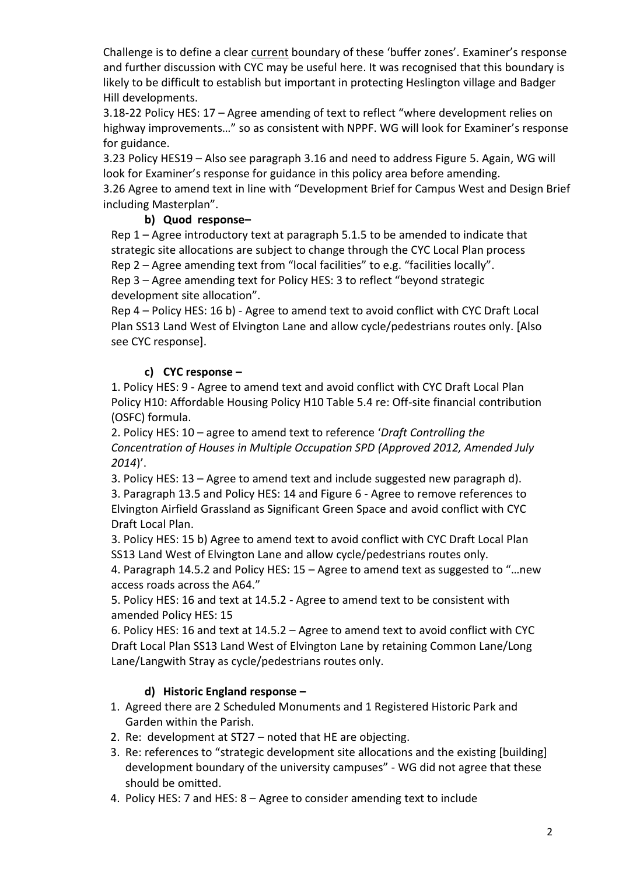Challenge is to define a clear current boundary of these 'buffer zones'. Examiner's response and further discussion with CYC may be useful here. It was recognised that this boundary is likely to be difficult to establish but important in protecting Heslington village and Badger Hill developments.

3.18-22 Policy HES: 17 – Agree amending of text to reflect "where development relies on highway improvements…" so as consistent with NPPF. WG will look for Examiner's response for guidance.

3.23 Policy HES19 – Also see paragraph 3.16 and need to address Figure 5. Again, WG will look for Examiner's response for guidance in this policy area before amending.

3.26 Agree to amend text in line with "Development Brief for Campus West and Design Brief including Masterplan".

# **b) Quod response–**

Rep 1 – Agree introductory text at paragraph 5.1.5 to be amended to indicate that strategic site allocations are subject to change through the CYC Local Plan process Rep 2 – Agree amending text from "local facilities" to e.g. "facilities locally". Rep 3 – Agree amending text for Policy HES: 3 to reflect "beyond strategic development site allocation".

Rep 4 – Policy HES: 16 b) - Agree to amend text to avoid conflict with CYC Draft Local Plan SS13 Land West of Elvington Lane and allow cycle/pedestrians routes only. [Also see CYC response].

# **c) CYC response –**

1. Policy HES: 9 - Agree to amend text and avoid conflict with CYC Draft Local Plan Policy H10: Affordable Housing Policy H10 Table 5.4 re: Off-site financial contribution (OSFC) formula.

2. Policy HES: 10 – agree to amend text to reference '*Draft Controlling the Concentration of Houses in Multiple Occupation SPD (Approved 2012, Amended July 2014*)'.

3. Policy HES: 13 – Agree to amend text and include suggested new paragraph d). 3. Paragraph 13.5 and Policy HES: 14 and Figure 6 - Agree to remove references to Elvington Airfield Grassland as Significant Green Space and avoid conflict with CYC Draft Local Plan.

3. Policy HES: 15 b) Agree to amend text to avoid conflict with CYC Draft Local Plan SS13 Land West of Elvington Lane and allow cycle/pedestrians routes only.

4. Paragraph 14.5.2 and Policy HES: 15 – Agree to amend text as suggested to "…new access roads across the A64."

5. Policy HES: 16 and text at 14.5.2 - Agree to amend text to be consistent with amended Policy HES: 15

6. Policy HES: 16 and text at 14.5.2 – Agree to amend text to avoid conflict with CYC Draft Local Plan SS13 Land West of Elvington Lane by retaining Common Lane/Long Lane/Langwith Stray as cycle/pedestrians routes only.

## **d) Historic England response –**

- 1. Agreed there are 2 Scheduled Monuments and 1 Registered Historic Park and Garden within the Parish.
- 2. Re: development at ST27 noted that HE are objecting.
- 3. Re: references to "strategic development site allocations and the existing [building] development boundary of the university campuses" - WG did not agree that these should be omitted.
- 4. Policy HES: 7 and HES: 8 Agree to consider amending text to include